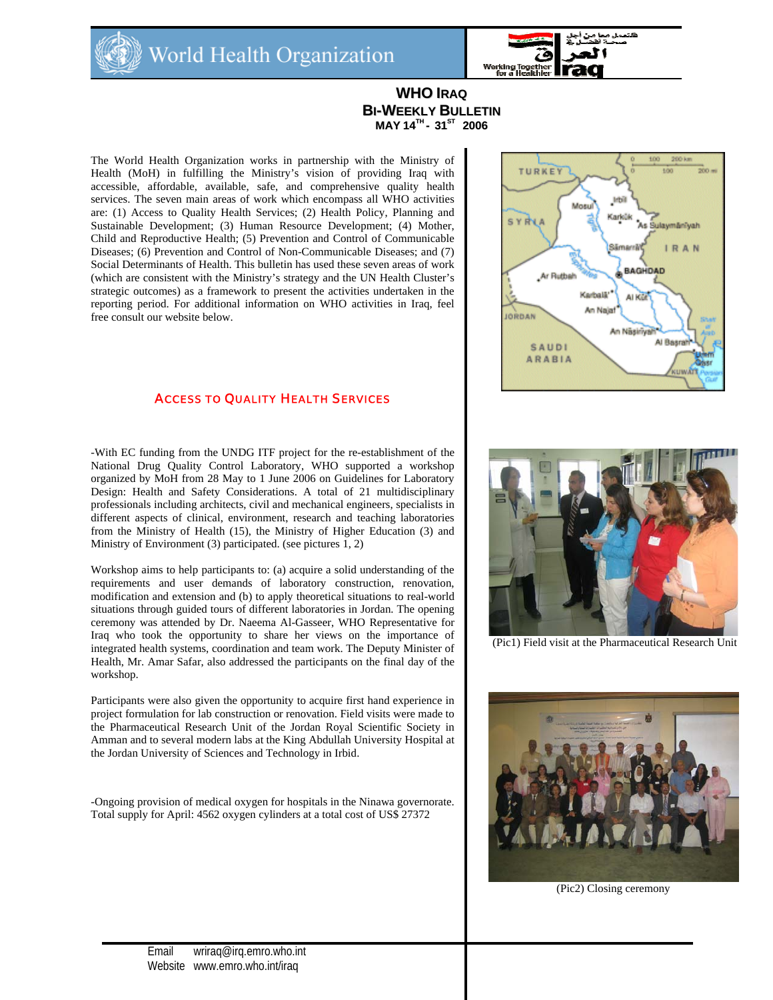



# **WHO IRAQ BI-WEEKLY BULLETIN MAY 14TH - 31ST 2006**

The World Health Organization works in partnership with the Ministry of Health (MoH) in fulfilling the Ministry's vision of providing Iraq with accessible, affordable, available, safe, and comprehensive quality health services. The seven main areas of work which encompass all WHO activities are: (1) Access to Quality Health Services; (2) Health Policy, Planning and Sustainable Development; (3) Human Resource Development; (4) Mother, Child and Reproductive Health; (5) Prevention and Control of Communicable Diseases; (6) Prevention and Control of Non-Communicable Diseases; and (7) Social Determinants of Health. This bulletin has used these seven areas of work (which are consistent with the Ministry's strategy and the UN Health Cluster's strategic outcomes) as a framework to present the activities undertaken in the reporting period. For additional information on WHO activities in Iraq, feel free consult our website below.

### ACCESS TO QUALITY HEALTH SERVICES

-With EC funding from the UNDG ITF project for the re-establishment of the National Drug Quality Control Laboratory, WHO supported a workshop organized by MoH from 28 May to 1 June 2006 on Guidelines for Laboratory Design: Health and Safety Considerations. A total of 21 multidisciplinary professionals including architects, civil and mechanical engineers, specialists in different aspects of clinical, environment, research and teaching laboratories from the Ministry of Health (15), the Ministry of Higher Education (3) and Ministry of Environment (3) participated. (see pictures 1, 2)

Workshop aims to help participants to: (a) acquire a solid understanding of the requirements and user demands of laboratory construction, renovation, modification and extension and (b) to apply theoretical situations to real-world situations through guided tours of different laboratories in Jordan. The opening ceremony was attended by Dr. Naeema Al-Gasseer, WHO Representative for Iraq who took the opportunity to share her views on the importance of integrated health systems, coordination and team work. The Deputy Minister of Health, Mr. Amar Safar, also addressed the participants on the final day of the workshop.

Participants were also given the opportunity to acquire first hand experience in project formulation for lab construction or renovation. Field visits were made to the Pharmaceutical Research Unit of the Jordan Royal Scientific Society in Amman and to several modern labs at the King Abdullah University Hospital at the Jordan University of Sciences and Technology in Irbid.

-Ongoing provision of medical oxygen for hospitals in the Ninawa governorate. Total supply for April: 4562 oxygen cylinders at a total cost of US\$ 27372





(Pic1) Field visit at the Pharmaceutical Research Unit



(Pic2) Closing ceremony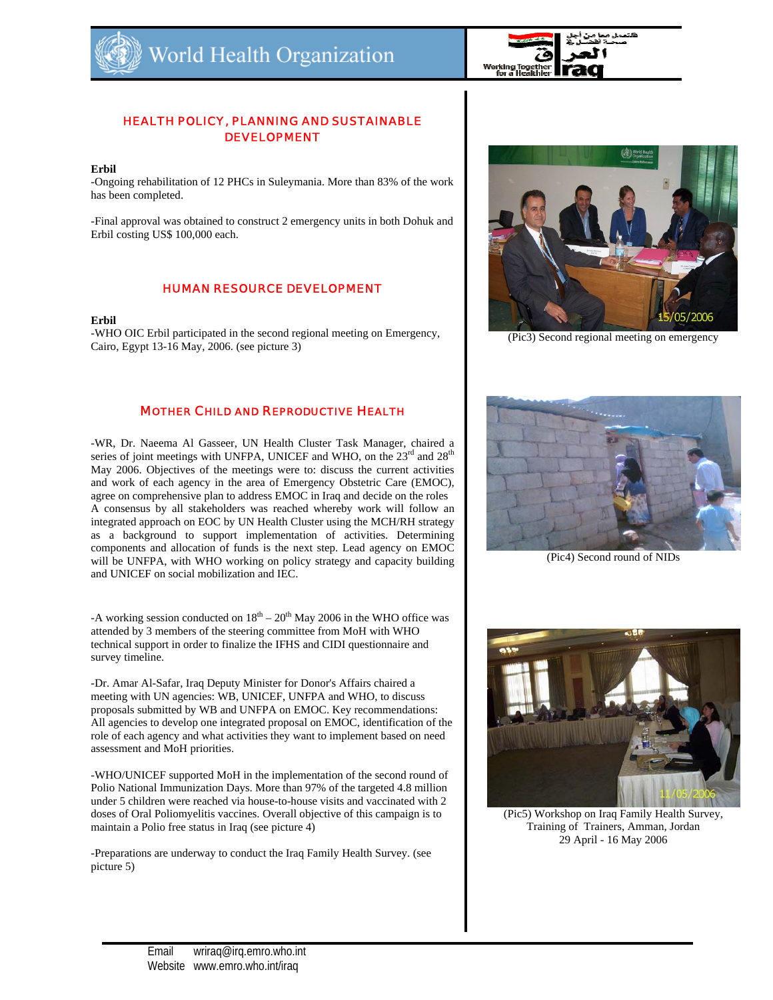

# HEALTH POLICY, PLANNING AND SUSTAINABLE DEVELOPMENT

#### **Erbil**

-Ongoing rehabilitation of 12 PHCs in Suleymania. More than 83% of the work has been completed.

-Final approval was obtained to construct 2 emergency units in both Dohuk and Erbil costing US\$ 100,000 each.

# HUMAN RESOURCE DEVELOPMENT

### **Erbil**

-WHO OIC Erbil participated in the second regional meeting on Emergency, Cairo, Egypt 13-16 May, 2006. (see picture 3)

# MOTHER CHILD AND REPRODUCTIVE HEALTH

-WR, Dr. Naeema Al Gasseer, UN Health Cluster Task Manager, chaired a series of joint meetings with UNFPA, UNICEF and WHO, on the  $23<sup>rd</sup>$  and  $28<sup>th</sup>$ May 2006. Objectives of the meetings were to: discuss the current activities and work of each agency in the area of Emergency Obstetric Care (EMOC), agree on comprehensive plan to address EMOC in Iraq and decide on the roles A consensus by all stakeholders was reached whereby work will follow an integrated approach on EOC by UN Health Cluster using the MCH/RH strategy as a background to support implementation of activities. Determining components and allocation of funds is the next step. Lead agency on EMOC will be UNFPA, with WHO working on policy strategy and capacity building and UNICEF on social mobilization and IEC.

-A working session conducted on  $18<sup>th</sup> - 20<sup>th</sup>$  May 2006 in the WHO office was attended by 3 members of the steering committee from MoH with WHO technical support in order to finalize the IFHS and CIDI questionnaire and survey timeline.

-Dr. Amar Al-Safar, Iraq Deputy Minister for Donor's Affairs chaired a meeting with UN agencies: WB, UNICEF, UNFPA and WHO, to discuss proposals submitted by WB and UNFPA on EMOC. Key recommendations: All agencies to develop one integrated proposal on EMOC, identification of the role of each agency and what activities they want to implement based on need assessment and MoH priorities.

-WHO/UNICEF supported MoH in the implementation of the second round of Polio National Immunization Days. More than 97% of the targeted 4.8 million under 5 children were reached via house-to-house visits and vaccinated with 2 doses of Oral Poliomyelitis vaccines. Overall objective of this campaign is to maintain a Polio free status in Iraq (see picture 4)

-Preparations are underway to conduct the Iraq Family Health Survey. (see picture 5)



(Pic3) Second regional meeting on emergency



(Pic4) Second round of NIDs



(Pic5) Workshop on Iraq Family Health Survey, Training of Trainers, Amman, Jordan 29 April - 16 May 2006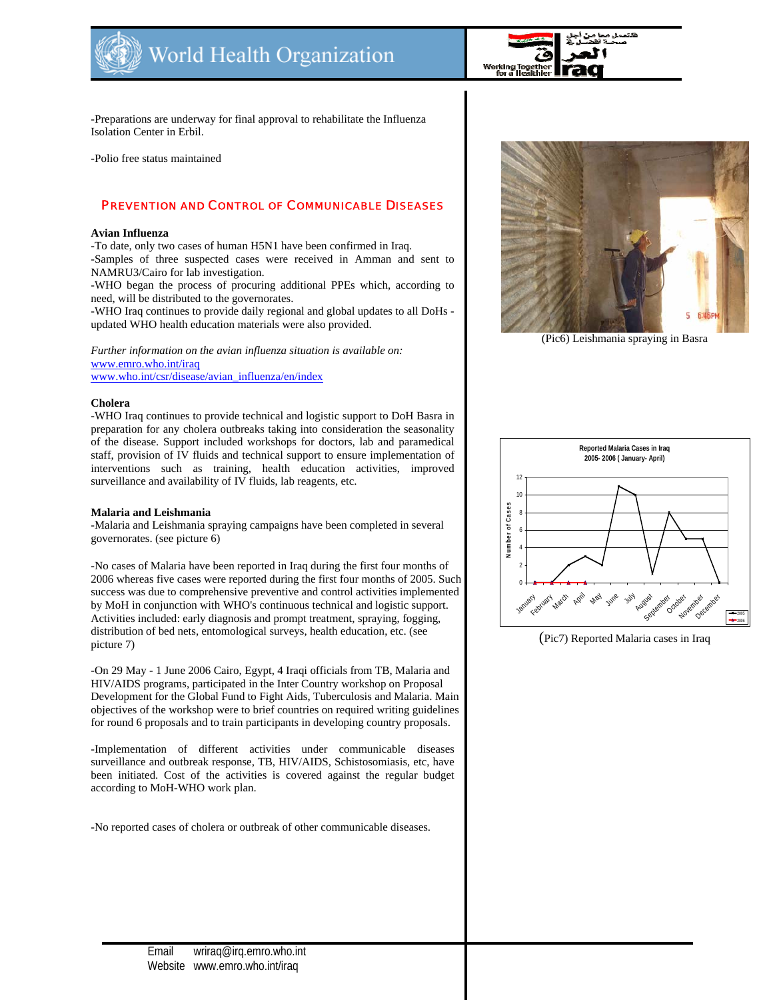

فلنعمل معإ

-Preparations are underway for final approval to rehabilitate the Influenza Isolation Center in Erbil.

-Polio free status maintained

# PREVENTION AND CONTROL OF COMMUNICABLE DISEASES

#### **Avian Influenza**

-To date, only two cases of human H5N1 have been confirmed in Iraq. -Samples of three suspected cases were received in Amman and sent to NAMRU3/Cairo for lab investigation.

-WHO began the process of procuring additional PPEs which, according to need, will be distributed to the governorates.

-WHO Iraq continues to provide daily regional and global updates to all DoHs updated WHO health education materials were also provided.

*Further information on the avian influenza situation is available on:* www.emro.who.int/iraq www.who.int/csr/disease/avian\_influenza/en/index

#### **Cholera**

-WHO Iraq continues to provide technical and logistic support to DoH Basra in preparation for any cholera outbreaks taking into consideration the seasonality of the disease. Support included workshops for doctors, lab and paramedical staff, provision of IV fluids and technical support to ensure implementation of interventions such as training, health education activities, improved surveillance and availability of IV fluids, lab reagents, etc.

#### **Malaria and Leishmania**

-Malaria and Leishmania spraying campaigns have been completed in several governorates. (see picture 6)

-No cases of Malaria have been reported in Iraq during the first four months of 2006 whereas five cases were reported during the first four months of 2005. Such success was due to comprehensive preventive and control activities implemented by MoH in conjunction with WHO's continuous technical and logistic support. Activities included: early diagnosis and prompt treatment, spraying, fogging, distribution of bed nets, entomological surveys, health education, etc. (see picture 7)

-On 29 May - 1 June 2006 Cairo, Egypt, 4 Iraqi officials from TB, Malaria and HIV/AIDS programs, participated in the Inter Country workshop on Proposal Development for the Global Fund to Fight Aids, Tuberculosis and Malaria. Main objectives of the workshop were to brief countries on required writing guidelines for round 6 proposals and to train participants in developing country proposals.

-Implementation of different activities under communicable diseases surveillance and outbreak response, TB, HIV/AIDS, Schistosomiasis, etc, have been initiated. Cost of the activities is covered against the regular budget according to MoH-WHO work plan.

-No reported cases of cholera or outbreak of other communicable diseases.



(Pic6) Leishmania spraying in Basra



(Pic7) Reported Malaria cases in Iraq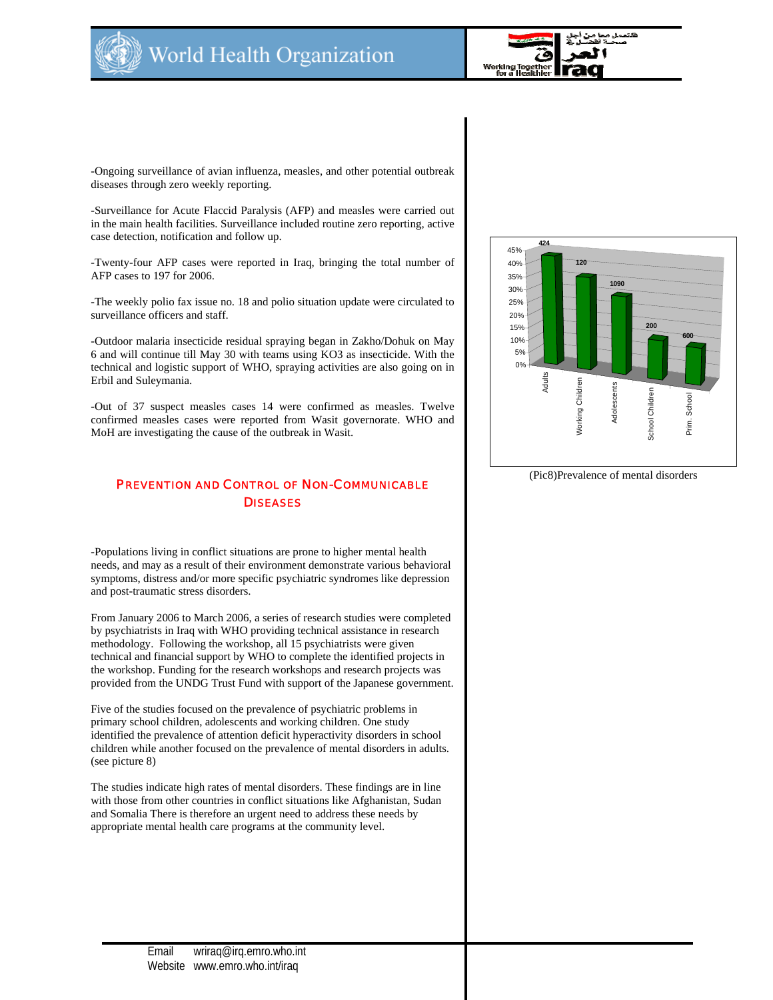



-Ongoing surveillance of avian influenza, measles, and other potential outbreak diseases through zero weekly reporting.

-Surveillance for Acute Flaccid Paralysis (AFP) and measles were carried out in the main health facilities. Surveillance included routine zero reporting, active case detection, notification and follow up.

-Twenty-four AFP cases were reported in Iraq, bringing the total number of AFP cases to 197 for 2006.

-The weekly polio fax issue no. 18 and polio situation update were circulated to surveillance officers and staff.

-Outdoor malaria insecticide residual spraying began in Zakho/Dohuk on May 6 and will continue till May 30 with teams using KO3 as insecticide. With the technical and logistic support of WHO, spraying activities are also going on in Erbil and Suleymania.

-Out of 37 suspect measles cases 14 were confirmed as measles. Twelve confirmed measles cases were reported from Wasit governorate. WHO and MoH are investigating the cause of the outbreak in Wasit.

# **PREVENTION AND CONTROL OF NON-COMMUNICABLE** (Pic8)Prevalence of mental disorders **DISEASES**

-Populations living in conflict situations are prone to higher mental health needs, and may as a result of their environment demonstrate various behavioral symptoms, distress and/or more specific psychiatric syndromes like depression and post-traumatic stress disorders.

From January 2006 to March 2006, a series of research studies were completed by psychiatrists in Iraq with WHO providing technical assistance in research methodology. Following the workshop, all 15 psychiatrists were given technical and financial support by WHO to complete the identified projects in the workshop. Funding for the research workshops and research projects was provided from the UNDG Trust Fund with support of the Japanese government.

Five of the studies focused on the prevalence of psychiatric problems in primary school children, adolescents and working children. One study identified the prevalence of attention deficit hyperactivity disorders in school children while another focused on the prevalence of mental disorders in adults. (see picture 8)

The studies indicate high rates of mental disorders. These findings are in line with those from other countries in conflict situations like Afghanistan, Sudan and Somalia There is therefore an urgent need to address these needs by appropriate mental health care programs at the community level.